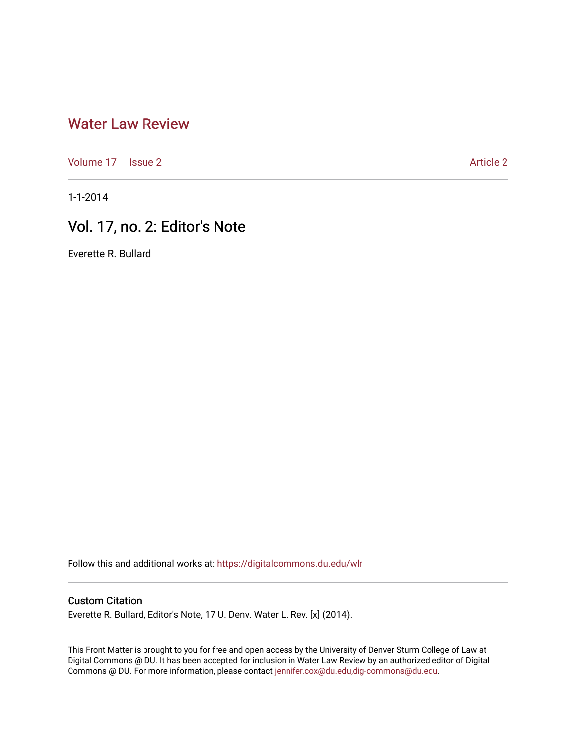## [Water Law Review](https://digitalcommons.du.edu/wlr)

[Volume 17](https://digitalcommons.du.edu/wlr/vol17) | [Issue 2](https://digitalcommons.du.edu/wlr/vol17/iss2) Article 2

1-1-2014

## Vol. 17, no. 2: Editor's Note

Everette R. Bullard

Follow this and additional works at: [https://digitalcommons.du.edu/wlr](https://digitalcommons.du.edu/wlr?utm_source=digitalcommons.du.edu%2Fwlr%2Fvol17%2Fiss2%2F2&utm_medium=PDF&utm_campaign=PDFCoverPages) 

## Custom Citation

Everette R. Bullard, Editor's Note, 17 U. Denv. Water L. Rev. [x] (2014).

This Front Matter is brought to you for free and open access by the University of Denver Sturm College of Law at Digital Commons @ DU. It has been accepted for inclusion in Water Law Review by an authorized editor of Digital Commons @ DU. For more information, please contact [jennifer.cox@du.edu,dig-commons@du.edu.](mailto:jennifer.cox@du.edu,dig-commons@du.edu)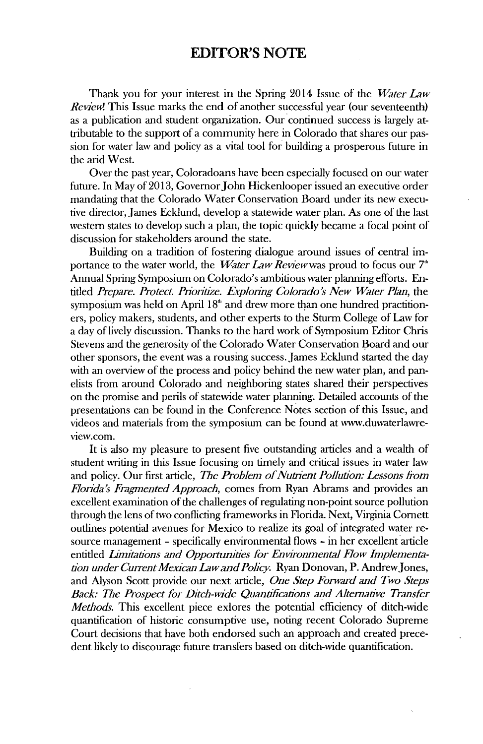## EDITOR'S **NOTE**

Thank you for your interest in the Spring 2014 Issue of the *Water Law Review!* This Issue marks the end of another successful year (our seventeenth) as a publication and student organization. Our continued success is largely attributable to the support of a community here in Colorado that shares our passion for water law and policy as a vital tool for building a prosperous future **in** the arid West.

Over the past year, Coloradoans have been especially focused on our water future. In May of **2013,** GovernorJohn Hickenlooper issued an executive order mandating that the Colorado Water Conservation Board under its new executive director, James Ecklund, develop a statewide water plan. As one of the last western states to develop such a plan, the topic quickly became a focal point of discussion for stakeholders around the state.

Building on a tradition of fostering dialogue around issues of central importance to the water world, the *WaterLawReidewwas* proud to focus our **7"** Annual Spring Symposium on Colorado's ambitious water planning efforts. Entitled *Prepare. Protect. Pioritize. Exploring Colorado's New Water Plan,* the symposium was held on April **1<sup>8</sup> "** and drew more than one hundred practitioners, policy makers, students, and other experts to the Sturm College of Law for a day of lively discussion. Thanks to the hard work of Symposium Editor Chris Stevens and the generosity of the Colorado Water Conservation Board and our other sponsors, the event was a rousing success. James Ecklund started the day with an overview of the process and policy behind the new water plan, and panelists from around Colorado and neighboring states shared their perspectives on the promise and perils of statewide water planning. Detailed accounts of the presentations can be found in the Conference Notes section of this Issue, and videos and materials from the symposium can be found at www.duwaterlawreview.com.

It is also my pleasure to present five outstanding articles and a wealth of student writing in this Issue focusing on timely and critical issues in water law and policy. Our first article, *The Problem of Nutrient Pollution: Lessons from Flonda's Fragmented Approach,* comes from Ryan Abrams and provides an excellent examination of the challenges of regulating non-point source pollution through the lens of two conflicting frameworks **in** Florida. Next, Virginia Cornett outlines potential avenues for Mexico to realize its goal of integrated water resource management **-** specifically environmental flows **-** in her excellent article *entitled LInitations and Opportunities for Environmental Flow Implementation under Current Mexican Lawand Policy.* Ryan Donovan, P. AndrewJones, and Alyson Scott provide our next article, *One Step Forward and Two Steps Back: The Prospect for Ditch-wide Quantifications and Alternative Transfer Methods.* This excellent piece exIores the potential efficiency of ditch-wide quantification of historic consumptive use, noting recent Colorado Supreme Court decisions that have both endorsed such an approach and created precedent likely to discourage future transfers based on ditch-wide quantification.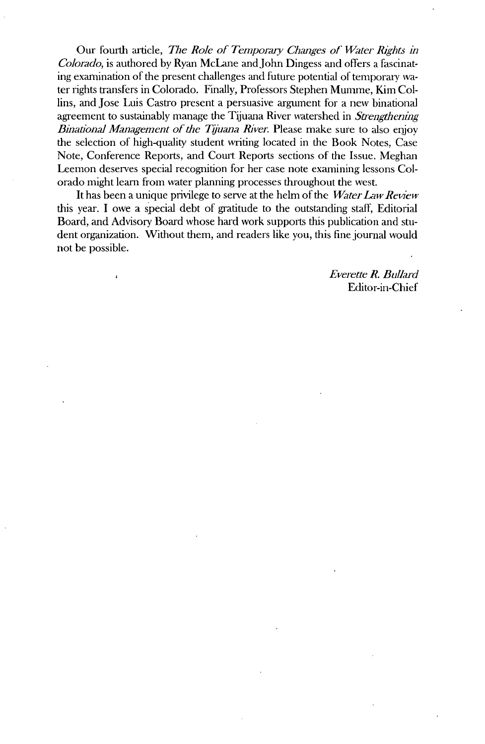Our fourth article, *The Role of Temporary Changes of Water Rights in Colorado,* is authored **by** Ryan McLane andJohn Dingess and offers a fascinating examination of the present challenges and future potential of temporary water rights transfers in Colorado. Finally, Professors Stephen Mumme, Kim **Col**lins, and Jose Luis Castro present a persuasive argument for a new binational agreement to sustainably manage the Tijuana River watershed in *Strengthening Binational Management of the Tijuana River.* Please make sure to also enjoy the selection of high-quality student writing located in the Book Notes, Case Note, Conference Reports, and Court Reports sections of the Issue. Meghan Leemon deserves special recognition for her case note examining lessons Colorado might learn from water planning processes throughout the west.

It has been a unique privilege to serve at the helm of the *Water LawReview* this year. **I** owe a special debt of gratitude to the outstanding staff, Editorial Board, and Advisory Board whose hard work supports this publication and student organization. Without them, and readers like you, this fine journal would not be possible.

> *Everette R. Ballard* Editor-in-Chief